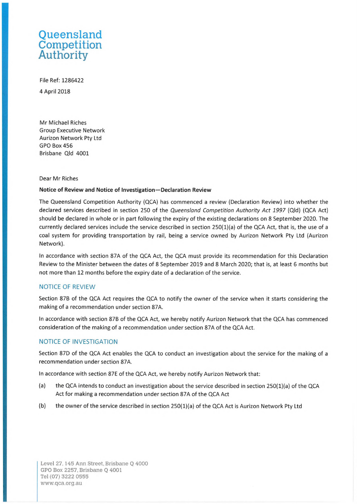# **Queensland Competition Authority**

File Ref: 1286422 4 April2018

Mr Michael Riches Group Executive Network Aurizon Network Pty Ltd GPO Box 456 Brisbane Qld 4001

### Dear Mr Riches

#### **Notice of Review and Notice of Investigation-Declaration Review**

The Queensland Competition Authority (QCA) has commenced a review (Declaration Review) into whether the declared services described in section 250 of the Queensland Competition Authority Act 1997 (Qld) (QCA Act) should be declared in whole or in part following the expiry of the existing declarations on 8 September 2020. The currently declared services include the service described in section 250(1)(a) of the QCA Act, that is, the use of a coal system for providing transportation by rail, being a service owned by Aurizon Network Pty Ltd (Aurizon Network).

In accordance with section 87A of the QCA Act, the QCA must provide its recommendation for this Declaration Review to the Minister between the dates of 8 September 2019 and 8 March 2020; that is, at least 6 months but not more than 12 months before the expiry date of a declaration of the service.

# NOTICE OF REVIEW

Section 87B of the QCA Act requires the QCA to notify the owner of the service when it starts considering the making of a recommendation under section 87A.

In accordance with section 878 of the QCA Act, we hereby notify Aurizon Network that the QCA has commenced consideration of the making of a recommendation under section 87A of the QCA Act.

## NOTICE OF INVESTIGATION

Section 87D of the QCA Act enables the QCA to conduct an investigation about the service for the making of a recommendation under section 87A.

In accordance with section 87E of the QCA Act, we hereby notify Aurizon Network that:

- (a) the QCA intends to conduct an investigation about the service described in section 250(1)(a) of the QCA Act for making a recommendation under section 87A of the QCA Act
- (b) the owner of the service described in section 250(1)(a) of the QCA Act is Aurizon Network Pty Ltd

Level 27, 145 Ann Street, Brisbane Q 4000 GPO Box 2257, Brisbane Q 4001 Tel (07) 3222 0555 [www.qca.org.au](http://www.qca.org.au)